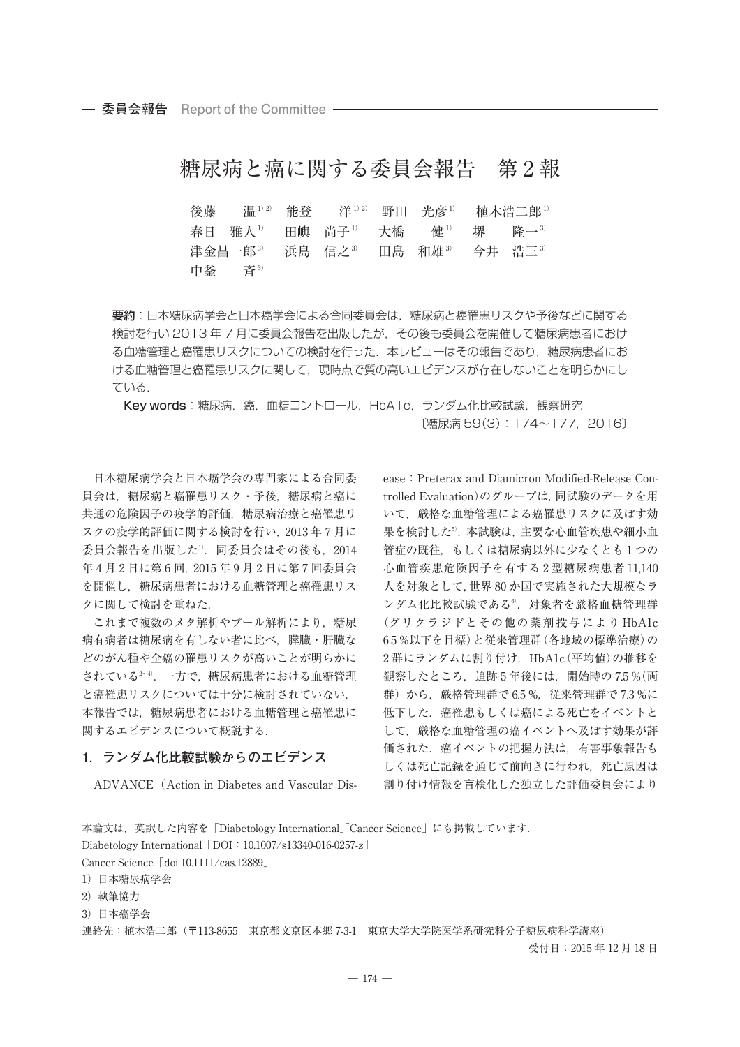# 糖尿病と癌に関する委員会報告 第 2 報

後藤 温1)2) 能登 洋1)2) 野田 光彦1) 植木浩二郎1) 春日 雅人<sup>1)</sup> 田嶼 尚子<sup>1)</sup> 大橋 健<sup>1)</sup> 堺 隆一<sup>3)</sup> 津金昌一郎<sup>3</sup> 浜島 信之<sup>3</sup> 田島 和雄<sup>3</sup> 今井 浩三<sup>3)</sup> 中釜 斉3)

要約:日本糖尿病学会と日本癌学会による合同委員会は,糖尿病と癌罹患リスクや予後などに関する 検討を行い 2013 年 7 月に委員会報告を出版したが,その後も委員会を開催して糖尿病患者におけ る血糖管理と癌罹患リスクについての検討を行った.本レビューはその報告であり,糖尿病患者にお ける血糖管理と癌罹患リスクに関して、現時点で質の高いエビデンスが存在しないことを明らかにし ている.

Key words:糖尿病,癌,血糖コントロール, HbA1c, ランダム化比較試験, 観察研究 〔糖尿病 59(3):174~177,2016〕

日本糖尿病学会と日本癌学会の専門家による合同委 員会は,糖尿病と癌罹患リスク・予後,糖尿病と癌に 共通の危険因子の疫学的評価,糖尿病治療と癌罹患リ スクの疫学的評価に関する検討を行い,2013 年 7 月に 委員会報告を出版した1) .同委員会はその後も,2014 年 4 月 2 日に第 6 回,2015 年 9 月 2 日に第 7 回委員会 を開催し,糖尿病患者における血糖管理と癌罹患リス クに関して検討を重ねた.

これまで複数のメタ解析やプール解析により,糖尿 病有病者は糖尿病を有しない者に比べ、膵臓・肝臓な どのがん種や全癌の罹患リスクが高いことが明らかに されている2~4) .一方で,糖尿病患者における血糖管理 と癌罹患リスクについては十分に検討されていない. 本報告では,糖尿病患者における血糖管理と癌罹患に 関するエビデンスについて概説する.

### **1.ランダム化比較試験からのエビデンス**

ADVANCE(Action in Diabetes and Vascular Dis-

ease:Preterax and Diamicron Modified-Release Controlled Evaluation)のグループは,同試験のデータを用 いて,厳格な血糖管理による癌罹患リスクに及ぼす効 果を検討した".本試験は,主要な心血管疾患や細小血 管症の既往,もしくは糖尿病以外に少なくとも 1 つの 心血管疾患危険因子を有する 2 型糖尿病患者 11,140 人を対象として,世界 80 か国で実施された大規模なラ ンダム化比較試験である<sup>6</sup>.対象者を厳格血糖管理群 (グリクラジドとその他の薬剤投与により HbA1c 6.5 %以下を目標)と従来管理群(各地域の標準治療)の 2群にランダムに割り付け、HbA1c(平均値)の推移を 観察したところ、追跡 5 年後には、開始時の 7.5 % (両 群)から, 厳格管理群で 6.5 %, 従来管理群で 7.3 %に 低下した. 癌罹患もしくは癌による死亡をイベントと して,厳格な血糖管理の癌イベントへ及ぼす効果が評 価された. 癌イベントの把握方法は、有害事象報告も しくは死亡記録を通じて前向きに行われ,死亡原因は 割り付け情報を盲検化した独立した評価委員会により

| 本論文は,英訳した内容を「Diabetology International」「Cancer Science」にも掲載しています.        |                 |
|--------------------------------------------------------------------------|-----------------|
| Diabetology International $\lceil$ DOI : 10.1007/s13340-016-0257-z       |                 |
| Cancer Science $\lceil \cdot \text{doi 10.1111}/\text{cas}.12889 \rceil$ |                 |
| 1) 日本糖尿病学会                                                               |                 |
| 2) 執筆協力                                                                  |                 |
| 3) 日本癌学会                                                                 |                 |
| - 連絡先:植木浩二郎(〒113-8655 東京都文京区本郷 7-3-1 東京大学大学院医学系研究科分子糖尿病科学講座)             |                 |
|                                                                          | 受付日:2015年12月18日 |
|                                                                          |                 |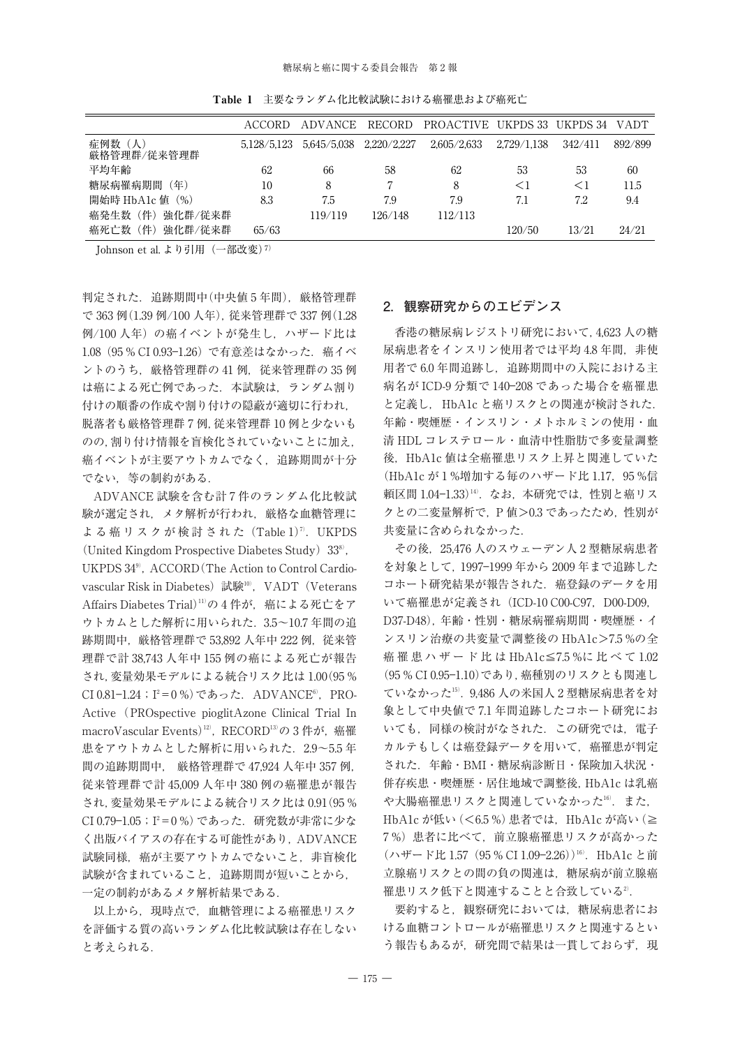Table 1 主要なランダム化比較試験における癌罹患および癌死亡

|                        | ACCORD      | ADVANCE     | <b>RECORD</b> | <b>PROACTIVE</b> | UKPDS 33    | UKPDS 34 | <b>VADT</b> |
|------------------------|-------------|-------------|---------------|------------------|-------------|----------|-------------|
| 症例数 (人)<br>厳格管理群/従来管理群 | 5,128/5,123 | 5.645/5.038 | 2.220/2.227   | 2.605/2.633      | 2,729/1,138 | 342/411  | 892/899     |
| 平均年齢                   | 62          | 66          | 58            | 62               | 53          | 53       | 60          |
| 糖尿病罹病期間<br>(年)         | 10          | 8           |               | 8                | $<$ 1       | ⊂ I      | 11.5        |
| 開始時 HbA1c 値(%)         | 8.3         | 7.5         | 7.9           | 7.9              | 7.1         | 7.2      | 9.4         |
| 件,<br>強化群/従来群<br>癌発生数  |             | 119/119     | 126/148       | 112/113          |             |          |             |
| 件)<br>癌死亡数<br>強化群/従来群  | 65/63       |             |               |                  | 120/50      | 13/21    | 24/21       |

Johnson et al. より引用 (一部改変)<sup>7)</sup>

判定された.追跡期間中(中央値 5 年間),厳格管理群 で 363 例(1.39 例/100 人年),従来管理群で 337 例(1.28 例/100人年)の癌イベントが発生し、ハザード比は 1.08 (95 % CI 0.93-1.26) で有意差はなかった. 癌イベ ントのうち、厳格管理群の 41 例, 従来管理群の 35 例 は癌による死亡例であった. 本試験は、ランダム割り 付けの順番の作成や割り付けの隠蔽が適切に行われ, 脱落者も厳格管理群 7 例,従来管理群 10 例と少ないも のの,割り付け情報を盲検化されていないことに加え, 癌イベントが主要アウトカムでなく,追跡期間が十分 でない,等の制約がある.

ADVANCE 試験を含む計 7 件のランダム化比較試 験が選定され,メタ解析が行われ,厳格な血糖管理に よる癌リスクが検討された (Table 1)<sup>7</sup>. UKPDS (United Kingdom Prospective Diabetes Study)  $33^{\circ}$ , UKPDS 34<sup>9</sup>, ACCORD (The Action to Control Cardiovascular Risk in Diabetes)試験<sup>10</sup>',VADT(Veterans Affairs Diabetes Trial)11) の 4 件が,癌による死亡をア ウトカムとした解析に用いられた.3.5~10.7 年間の追 跡期間中, 厳格管理群で 53,892 人年中 222 例, 従来管 理群で計 38,743 人年中 155 例の癌による死亡が報告 され,変量効果モデルによる統合リスク比は 1.00(95 % CI 0.81-1.24;I<sup>2</sup>=0 %) であった.ADVANCE<sup>6)</sup>,PRO-Active(PROspective pioglitAzone Clinical Trial In macroVascular Events)<sup>12)</sup>,RECORD<sup>13)</sup>の 3 件が,癌罹 患をアウトカムとした解析に用いられた. 2.9~5.5年 間の追跡期間中, 厳格管理群で 47,924 人年中 357 例, 従来管理群で計 45,009 人年中 380 例の癌罹患が報告 され,変量効果モデルによる統合リスク比は 0.91(95 % CI 0.79−1.05;I²=0 %) であった.研究数が非常に少な く出版バイアスの存在する可能性があり、ADVANCE 試験同様、癌が主要アウトカムでないこと、非盲検化 試験が含まれていること,追跡期間が短いことから, 一定の制約があるメタ解析結果である.

以上から,現時点で,血糖管理による癌罹患リスク を評価する質の高いランダム化比較試験は存在しない と考えられる.

## **2.観察研究からのエビデンス**

香港の糖尿病レジストリ研究において,4,623 人の糖 尿病患者をインスリン使用者では平均4.8年間, 非使 用者で 6.0 年間追跡し,追跡期間中の入院における主 病名が ICD-9 分類で 140―208 であった場合を癌罹患 と定義し. HbA1c と癌リスクとの関連が検討された. 年齢・喫煙歴・インスリン・メトホルミンの使用・血 清 HDL コレステロール・血清中性脂肪で多変量調整 後. HbA1c 値は全癌罹患リスク上昇と関連していた (HbA1c が 1 %増加する毎のハザード比 1.17,95 %信 頼区間 1.04–1.33)'''.なお,本研究では,性別と癌リス クとの二変量解析で,P 値>0.3 であったため,性別が 共変量に含められなかった.

その後,25,476 人のスウェーデン人 2 型糖尿病患者 を対象として,1997―1999 年から 2009 年まで追跡した コホート研究結果が報告された. 癌登録のデータを用 いて癌罹患が定義され (ICD-10 C00-C97, D00-D09, D37-D48),年齢・性別・糖尿病罹病期間・喫煙歴・イ ンスリン治療の共変量で調整後の HbA1c>7.5 %の全 癌 罹 患 ハ ザ ー ド 比 は HbA1c≦7.5 %に比べて 1.02 (95 % CI 0.95―1.10)であり,癌種別のリスクとも関連し ていなかった15) .9,486 人の米国人 2 型糖尿病患者を対 象として中央値で 7.1 年間追跡したコホート研究にお いても、同様の検討がなされた. この研究では、電子 カルテもしくは癌登録データを用いて,癌罹患が判定 された.年齢・BMI・糖尿病診断日・保険加入状況・ 併存疾患・喫煙歴・居住地域で調整後,HbA1c は乳癌 や大腸癌罹患リスクと関連していなかった'<sup>6)</sup>. また, HbA1c が低い (<6.5 %) 患者では, HbA1c が高い (≧ 7 %)患者に比べて,前立腺癌罹患リスクが高かった (ハザード比 1.57(95 % CI 1.09–2.26))<sup>16)</sup>. HbA1c と前 立腺癌リスクとの間の負の関連は,糖尿病が前立腺癌 罹患リスク低下と関連することと合致している2.

要約すると,観察研究においては,糖尿病患者にお ける血糖コントロールが癌罹患リスクと関連するとい う報告もあるが、研究間で結果は一貫しておらず、現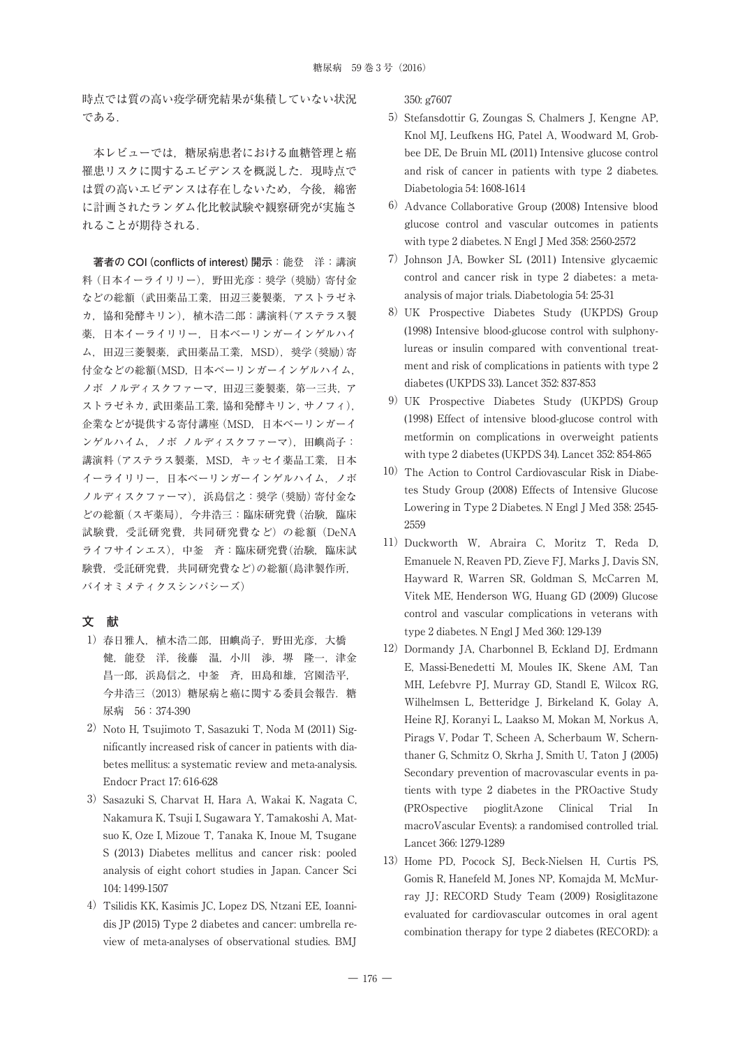時点では質の高い疫学研究結果が集積していない状況 である.

本レビューでは,糖尿病患者における血糖管理と癌 罹患リスクに関するエビデンスを概説した.現時点で は質の高いエビデンスは存在しないため,今後,綿密 に計画されたランダム化比較試験や観察研究が実施さ れることが期待される.

**著者の COI(conflicts of interest)開示**:能登 洋:講演 料 (日本イーライリリー), 野田光彦:奨学(奨励)寄付金 などの総額(武田薬品工業,田辺三菱製薬,アストラゼネ カ,協和発酵キリン),植木浩二郎:講演料(アステラス製 薬, 日本イーライリリー, 日本ベーリンガーインゲルハイ ム, 田辺三菱製薬, 武田薬品工業, MSD), 奨学 (奨励) 寄 付金などの総額(MSD,日本ベーリンガーインゲルハイム, ノボ ノルディスクファーマ,田辺三菱製薬,第一三共,ア ストラゼネカ,武田薬品工業,協和発酵キリン,サノフィ), 企業などが提供する寄付講座(MSD,日本ベーリンガーイ ンゲルハイム,ノボ ノルディスクファーマ),田嶼尚子: 講演料(アステラス製薬,MSD,キッセイ薬品工業,日本 イーライリリー,日本ベーリンガーインゲルハイム,ノボ ノルディスクファーマ),浜島信之:奨学(奨励)寄付金な どの総額(スギ薬局),今井浩三:臨床研究費(治験,臨床 試験費,受託研究費,共同研究費など)の総額(DeNA ライフサインエス),中釜 斉:臨床研究費(治験,臨床試 験費,受託研究費,共同研究費など)の総額(島津製作所, バイオミメティクスシンパシーズ)

# **文 献**

- 1)春日雅人,植木浩二郎,田嶼尚子,野田光彦,大橋 健, 能登 洋, 後藤 温, 小川 渉, 堺 隆一, 津金 昌一郎,浜島信之,中釜 斉,田島和雄,宮園浩平, 今井浩三(2013)糖尿病と癌に関する委員会報告. 糖 尿病 56:374-390
- 2) Noto H, Tsujimoto T, Sasazuki T, Noda M (2011) Significantly increased risk of cancer in patients with diabetes mellitus: a systematic review and meta-analysis. Endocr Pract 17: 616-628
- 3) Sasazuki S, Charvat H, Hara A, Wakai K, Nagata C, Nakamura K, Tsuji I, Sugawara Y, Tamakoshi A, Matsuo K, Oze I, Mizoue T, Tanaka K, Inoue M, Tsugane S (2013) Diabetes mellitus and cancer risk: pooled analysis of eight cohort studies in Japan. Cancer Sci 104: 1499-1507
- 4)Tsilidis KK, Kasimis JC, Lopez DS, Ntzani EE, Ioannidis JP (2015) Type 2 diabetes and cancer: umbrella review of meta-analyses of observational studies. BMJ

#### 350: g7607

- 5) Stefansdottir G, Zoungas S, Chalmers J, Kengne AP, Knol MJ, Leufkens HG, Patel A, Woodward M, Grobbee DE, De Bruin ML (2011) Intensive glucose control and risk of cancer in patients with type 2 diabetes. Diabetologia 54: 1608-1614
- 6)Advance Collaborative Group (2008) Intensive blood glucose control and vascular outcomes in patients with type 2 diabetes. N Engl J Med 358: 2560-2572
- 7) Johnson JA, Bowker SL (2011) Intensive glycaemic control and cancer risk in type 2 diabetes: a metaanalysis of major trials. Diabetologia 54: 25-31
- 8)UK Prospective Diabetes Study (UKPDS) Group (1998) Intensive blood-glucose control with sulphonylureas or insulin compared with conventional treatment and risk of complications in patients with type 2 diabetes (UKPDS 33). Lancet 352: 837-853
- 9)UK Prospective Diabetes Study (UKPDS) Group (1998) Effect of intensive blood-glucose control with metformin on complications in overweight patients with type 2 diabetes (UKPDS 34). Lancet 352: 854-865
- 10) The Action to Control Cardiovascular Risk in Diabetes Study Group (2008) Effects of Intensive Glucose Lowering in Type 2 Diabetes. N Engl J Med 358: 2545- 2559
- 11) Duckworth W, Abraira C, Moritz T, Reda D, Emanuele N, Reaven PD, Zieve FJ, Marks J, Davis SN, Hayward R, Warren SR, Goldman S, McCarren M, Vitek ME, Henderson WG, Huang GD (2009) Glucose control and vascular complications in veterans with type 2 diabetes. N Engl J Med 360: 129-139
- 12) Dormandy JA, Charbonnel B, Eckland DJ, Erdmann E, Massi-Benedetti M, Moules IK, Skene AM, Tan MH, Lefebvre PJ, Murray GD, Standl E, Wilcox RG, Wilhelmsen L, Betteridge J, Birkeland K, Golay A, Heine RJ, Koranyi L, Laakso M, Mokan M, Norkus A, Pirags V, Podar T, Scheen A, Scherbaum W, Schernthaner G, Schmitz O, Skrha J, Smith U, Taton J (2005) Secondary prevention of macrovascular events in patients with type 2 diabetes in the PROactive Study (PROspective pioglitAzone Clinical Trial In macroVascular Events): a randomised controlled trial. Lancet 366: 1279-1289
- 13) Home PD, Pocock SJ, Beck-Nielsen H, Curtis PS, Gomis R, Hanefeld M, Jones NP, Komajda M, McMurray JJ; RECORD Study Team (2009) Rosiglitazone evaluated for cardiovascular outcomes in oral agent combination therapy for type 2 diabetes (RECORD): a